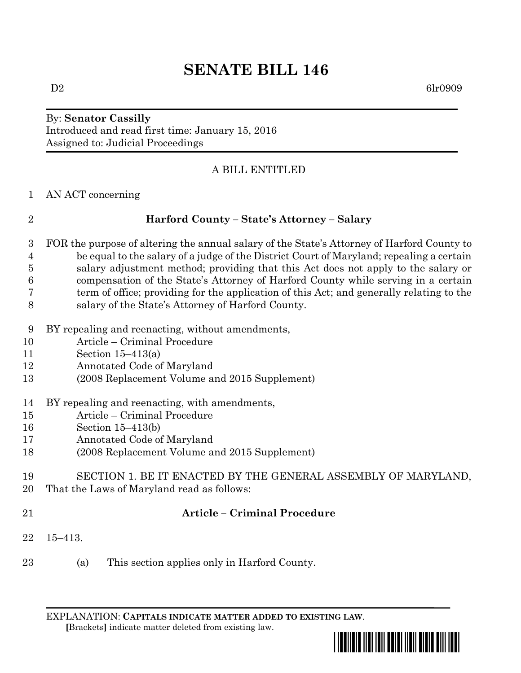# **SENATE BILL 146**

## By: **Senator Cassilly** Introduced and read first time: January 15, 2016 Assigned to: Judicial Proceedings

# A BILL ENTITLED

AN ACT concerning

# **Harford County – State's Attorney – Salary**

- FOR the purpose of altering the annual salary of the State's Attorney of Harford County to be equal to the salary of a judge of the District Court of Maryland; repealing a certain salary adjustment method; providing that this Act does not apply to the salary or compensation of the State's Attorney of Harford County while serving in a certain term of office; providing for the application of this Act; and generally relating to the salary of the State's Attorney of Harford County.
- BY repealing and reenacting, without amendments,
- Article Criminal Procedure
- Section 15–413(a)
- Annotated Code of Maryland
- (2008 Replacement Volume and 2015 Supplement)
- BY repealing and reenacting, with amendments,
- Article Criminal Procedure
- Section 15–413(b)
- Annotated Code of Maryland
- (2008 Replacement Volume and 2015 Supplement)
- SECTION 1. BE IT ENACTED BY THE GENERAL ASSEMBLY OF MARYLAND,
- That the Laws of Maryland read as follows:
- 

# **Article – Criminal Procedure**

- 15–413.
- (a) This section applies only in Harford County.

EXPLANATION: **CAPITALS INDICATE MATTER ADDED TO EXISTING LAW**.  **[**Brackets**]** indicate matter deleted from existing law.



 $D2 \hspace{3.2cm} \text{6lr0909}$